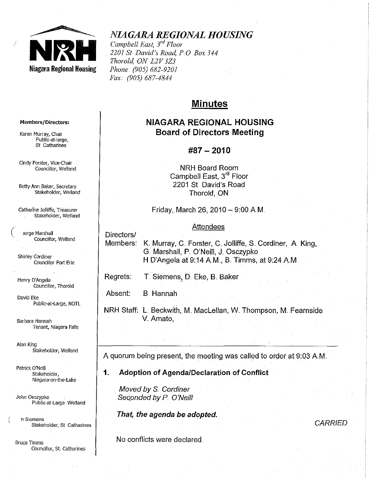

# *NIAGARA REGIONAL HOUSING*

*Campbell East, 3*rd *Floor 2201 St David's Road, POBox 344 Thorold, ON L2V3Z3 Phone· (905) 682-9201 Fax.. (905) 687-4844* 

# **Minutes**

# **NIAGARA REGIONAL HOUSING Board of Directors Meeting**

# **#87 - 2010**

**NRH** Board Room Campbell East, 3<sup>rd</sup> Floor 2201 St David's Road Thorold, **ON** 

Friday, March 26, 2010  $-$  9:00 A.M.

### Attendees

Members: K. Murray, C. Forster, C. Jolliffe, S. Cordiner, A. King, G. Marshall, P. O'Neill, J. Osczypko H D'Angela at 9:14 A.M., B. Timms, at 9:24 A.M.

Regrets: T. Siemens, D. Eke, B. Baker

Absent: B. Hannah

**NRH** Staff: L. Beckwith, M. Maclellan, W. Thompson, M. Featnside V. Amato,

A quorum being present, the meeting was called to order at 9:03 AM.

**1. Adoption of AgendalDeclaration of Conflict** 

Moved *by* 8.. Cardiner Seconded by P. O'Neill

**That, the agenda be adopted,** 

**CARRIED** 

No conflicts were declared.

#### **Members/Directors:**

**Karen Murray, Chair Public-at-Iarge, St Catharines** 

**Cindy Forster, Vice-Chair Councillor, Weiland** 

Betty Ann Baker, Secretary Stakeholder, Weiland

**Catherine JOlliffe, Treasurer**  Stakeholder, Weiland

( ,orge Marshall Councillor~ **Weiland** 

**Shirley Cordiner Councillor Fort Erie** 

Henry D'Angela **Councillor, Thorold** 

David Eke Public-at-Large, NDTl.

**Barbara Hannah Tenant, Niagara Falls** 

Alan King Stakeholder, Weiland

Patrick O'Neill Stakeholder, **Niagara-on-the-Lake** 

**John Osczypko PUblic-at-Large We!land** 

**nSiemens Stakeholder, St. Catharines** 

**Bruce Timms Councillor, St, catharines**  Directors/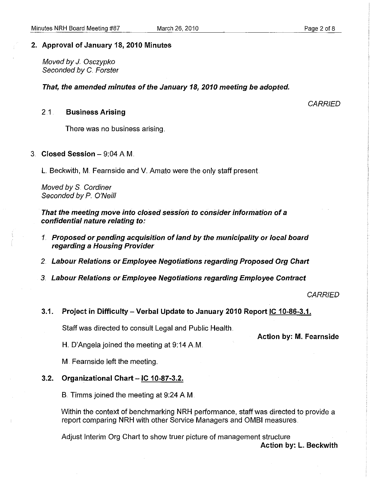#### 2" Approval of January 18, 2010 Minutes

Moved by *J.* Osczypko Seconded by C. Forster

That, the amended minutes of the January 18, 2010 meeting be adopted.

# 2.1 . Business Arising

**CARRIED** 

There was no business arising.

3  $. **Closed Session - 9:04** A M.$ 

L. Beckwith, M. Fearnside and V. Amato were the only staff present.

Moved by S. Cordiner Seconded by P. O'Neill

That the meeting move into closed session to consider information of a confidential nature relating to.:

- 1. Proposed or pending acquisition of land by the municipality or local board regarding a Housing Provider
- 2. Labour Relations or Employee Negotiations regarding Proposed Org Chart
- 3. Labour Relations Of Employee Negotiations regarding Employee Contract

**CARRIED** 

3.1. Project in Difficulty - Verbal Update to January 2010 Report **IC** 10-86-3.1.

Staff was directed to consult Legal and Public Health.

Action by: M. Fearnside

H. O'Angela joined the meeting at 9:14 AM..

M. Fearnside left the meeting.

#### 3.2. Organizational Chart - **IC** 10-87-3.2.

B. Timms joined the meeting at 9:24 AM.

Within the context of benchmarking NRH performance, staff was directed to provide a report comparing NRH with other Service Managers and OMBI measures.

Adjust Interim Org Chart to show truer picture of management structure Action by: L. Beckwith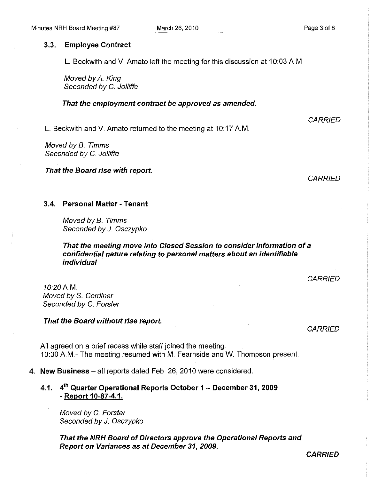### 3.3. **Employee Contract**

L. Beckwith and V. Amato left the meeting for this discussion at 10:03 AM.

Moved by A. King Seconded by C. Jolliffe

#### **That the employment contract be approved as amended.**

L. Beckwith and V. Amato returned to the meeting at 10:17 AM.

Moved by B.. Timms Seconded by C. Jolliffe

**That the Board rise with report.** 

**CARRIED** 

### 3.4.. **Personal Matter - Tenant**

Moved by B.. Timms Seconded by J. Osczypko

# **That the meeting move into Closed Session to consider information of a confidential nature relating to personal matters about an identifiable individual**

**CARRIED** 

1020AM. Moved by S. Cordiner Seconded by C. Forster

#### **That the Board without rise report.**

**CARRIED** 

All agreed on a brief recess while staff joined the meeting. 10:30 A.M.- The meeting resumed with M. Fearnside and W. Thompson present.

4 .. **New Business** - all reports dated Feb. 26, 2010 were considered ..

**4.1. 4th Quarter Operational Reports October 1 - December 31,2009 - Report 10-87-4.1.** 

Moved by C. Forster Seconded by J. Osczypko

**That the NRH Board of Directors approve the Operational Reports and Report on Variances as at December 31, 2009 ..** 

**CARRIED**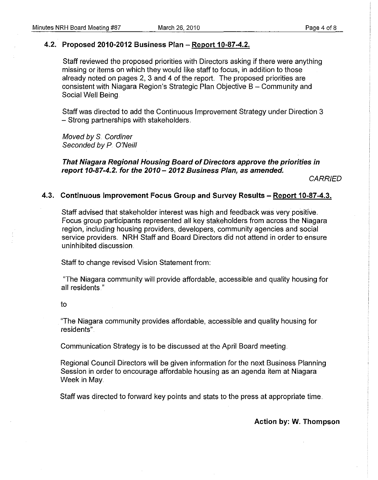# 4.2. Proposed 2010-2012 Business Plan - Report 10-87-4.2.

Staff reviewed the proposed priorities with Directors asking if there were anything missing or items on which they would like staff to focus, in addition to those already noted on pages 2, 3 and 4 of the report. The proposed priorities are consistent with Niagara Region's Strategic Plan Objective B - Community and Social Well Being.

Staff was directed to add the Continuous Improvement Strategy under Direction 3 - Strong partnerships with stakeholders.

Moved by S. Cordiner Seconded by P. O'Neill

That Niagara Regional Housing Board of Directors approve the priorities in report 10-87-4.2. for the  $2010 - 2012$  Business Plan, as amended.

**CARRIED** 

#### 4.3. Continuous Improvement Focus Group and Survey Results - Report 10-87-4.3.

Staff advised that stakeholder interest was high and feedback was very positive. Focus group participants represented all key stakeholders from across the Niagara region, including housing providers, developers, community agencies and social service providers. NRH Staff and Board Directors did not attend in order to ensure uninhibited discussion.

Staff to change revised Vision Statement from:

"The Niagara community will provide affordable, accessible and quality housing for all residents."

#### to

"The Niagara community provides affordable, accessible and quality housing for residents'"

Communication Strategy is to be discussed at the April Board meeting.

Regional Council Directors will be given information for the next Business Planning Session in order to encourage affordable housing as an agenda item at Niagara Week in May

Staff was directed to forward key points and stats to the press at appropriate time ..

Action by: W. Thompson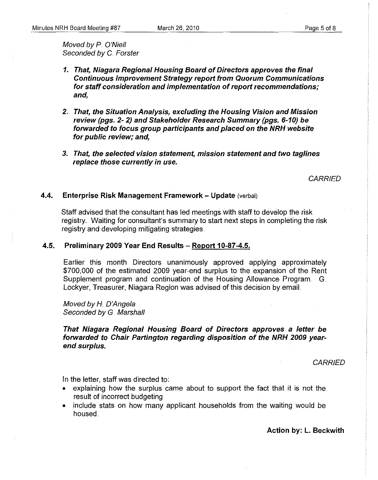Moved by P. O'Niell Seconded by C. Forster

- 1. That, Niagara Regional Housing Board of Directors approves the final Continuous Improvement Strategy report from Quorum Communications for staff consideration and implementation of report recommendations; and,
- 2.. That, the Situation Analysis, excluding the Housing Vision and Mission review (pgs. 2· 2) and Stakeholder Research Summary (pgs. 6·10) be forwarded to focus group participants and placed on the NRH website for public review; and,
- 3. That, the selected vision statement, mission statement and two taglines replace those currently in use.

**CARRIED** 

#### 4.4. Enterprise Risk Management Framework - Update (verbal)

Staff advised that the consultant has led meetings with staff to develop the risk registry.. Waiting for consultant's summary to start next steps in completing the risk registry and developing mitigating strategies.

#### 4.5. Preliminary 2009 Year End Results - Report 10-87-4.5.

Earlier this month Directors unanimously approved applying approximately \$700,000 of the estimated 2009 year-end surplus to the expansion of the Rent Supplement program and continuation of the Housing Allowance Program.. G. Lockyer, Treasurer, Niagara Region was advised of this decision by email.

Moved by H. D'Angela Seconded by G. Marshall

That Niagara Regional Housing Board of Directors approves a letter be forwarded to Chair Partington regarding disposition of the NRH 2009 yearend surplus.

**CARRIED** 

In the letter, staff was directed to:

- explaining how the surplus came about to support the fact that it is not the result of incorrect budgeting
- include stats on how many applicant households from the waiting would be housed.

Action by: L. Beckwith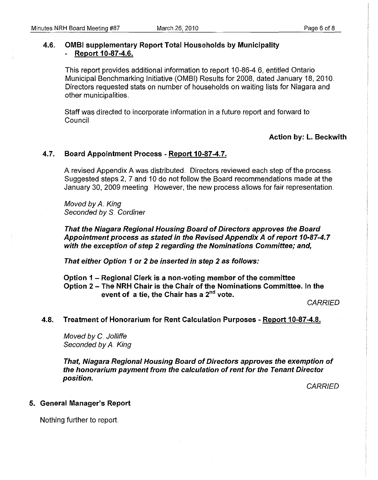# 4.6" OMBI supplementary Report Total Households by Municipality Report 10-87-4.6.

This report provides additional information to report 10-86-4.6, entitled Ontario Municipal Benchmarking Initiative (OMSI) Results for 2008, dated January 18, 2010. Directors requested stats on number of households on waiting lists for Niagara and other municipalities ..

Staff was directed to incorporate information in a future report and forward to Council.

### Action by: L. Beckwith

# 4.7. Board Appointment Process - Report 10-87-4.7.

A revised Appendix A was distributed. Directors reviewed each step of the process. Suggested steps 2, 7 and 10 do not follow the Board recommendations made at the January 30, 2009 meeting. However, the new process allows for fair representation ..

Moved by A. King Seconded by S. Cordiner

That the Niagara Regional Housing Board of Directors approves the Board Appointment process as stated in the Revised Appendix A of report 10-87-4..7 with the exception of step 2 regarding the Nominations Committee; and,

That either Option 1 or 2 be inserted in step 2 as follows.:

Option 1 - Regional Clerk is a non-voting member of the committee Option 2 - The NRH Chair is the Chair of the Nominations Committee. In the event of a tie, the Chair has a 2<sup>nd</sup> vote.

**CARRIED** 

#### 4.8. Treatment of Honorarium for Rent Calculation Purposes - Report 10-87-4.8.

Moved by C. Jolliffe Seconded by A. King

That, Niagara Regional Housing Board of Directors approves the exemption of the honorarium payment from the calculation of rent for the Tenant Director position..

**CARRIED** 

#### 5. General Manager's Report

Nothing further to report.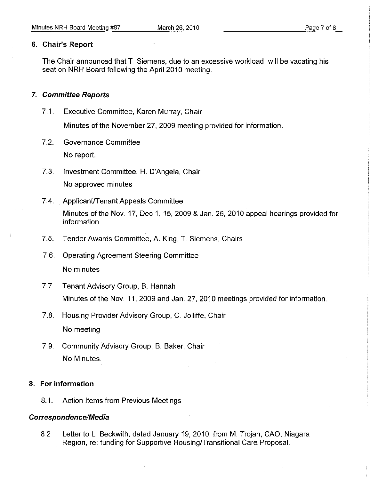# **6. Chair's Report**

The Chair announced that T. Siemens, due to an excessive workload, will be vacating his seat on **NRH** Board following the April 2010 meeting.

# **7. Committee Reports**

7.1 . Executive Committee, Karen Murray, Chair

Minutes of the November 27, 2009 meeting provided for information.

- 7.2. Governance Committee No report
- 7..3.. Investment Committee, H. D'Angela, Chair No approved minutes
- 7.4. Applicant/Tenant Appeals Committee Minutes of the Nov. 17, Dec 1, 15, 2009 & Jan. 26, 2010 appeal hearings provided for information ..
- 7..5. Tender Awards Committee, A King, T. Siemens, Chairs
- 7.6. Operating Agreement Steering Committee No minutes.
- 7.7. Tenant Advisory Group, B. Hannah Minutes of the Nov. 11, 2009 and Jan. 27, 2010 meetings provided for information.
- 7.8. Housing Provider Advisory Group, C. Jolliffe, Chair

No meeting

7.9. Community Advisory Group, B. Baker, Chair No Minutes ..

# **8. For information**

8.1. Action Items from Previous Meetings

# **Correspondence/Media**

8.2. Letter to L. Beckwith, dated January 19, 2010, from M. Trojan, CAO, Niagara Region, re: funding for Supportive Housing/Transitional Care Proposal.